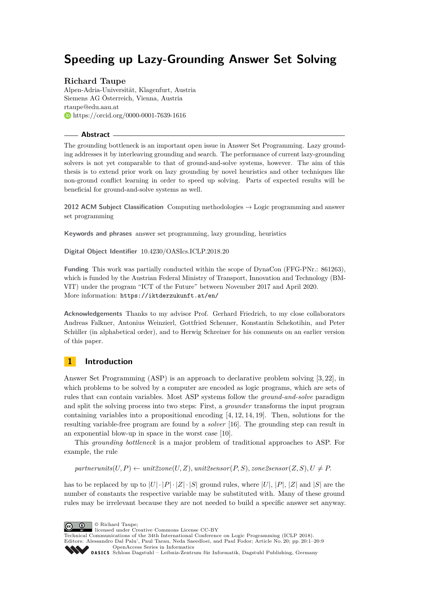# **Speeding up Lazy-Grounding Answer Set Solving**

# **Richard Taupe**

Alpen-Adria-Universität, Klagenfurt, Austria Siemens AG Österreich, Vienna, Austria [rtaupe@edu.aau.at](mailto:rtaupe@edu.aau.at) <https://orcid.org/0000-0001-7639-1616>

#### **Abstract**

The grounding bottleneck is an important open issue in Answer Set Programming. Lazy grounding addresses it by interleaving grounding and search. The performance of current lazy-grounding solvers is not yet comparable to that of ground-and-solve systems, however. The aim of this thesis is to extend prior work on lazy grounding by novel heuristics and other techniques like non-ground conflict learning in order to speed up solving. Parts of expected results will be beneficial for ground-and-solve systems as well.

**2012 ACM Subject Classification** Computing methodologies → Logic programming and answer set programming

**Keywords and phrases** answer set programming, lazy grounding, heuristics

**Digital Object Identifier** [10.4230/OASIcs.ICLP.2018.20](https://doi.org/10.4230/OASIcs.ICLP.2018.20)

**Funding** This work was partially conducted within the scope of DynaCon (FFG-PNr.: 861263), which is funded by the Austrian Federal Ministry of Transport, Innovation and Technology (BM-VIT) under the program "ICT of the Future" between November 2017 and April 2020. More information: <https://iktderzukunft.at/en/>

**Acknowledgements** Thanks to my advisor Prof. Gerhard Friedrich, to my close collaborators Andreas Falkner, Antonius Weinzierl, Gottfried Schenner, Konstantin Schekotihin, and Peter Schüller (in alphabetical order), and to Herwig Schreiner for his comments on an earlier version of this paper.

# **1 Introduction**

Answer Set Programming (ASP) is an approach to declarative problem solving [\[3,](#page-6-0) [22\]](#page-7-0), in which problems to be solved by a computer are encoded as logic programs, which are sets of rules that can contain variables. Most ASP systems follow the *ground-and-solve* paradigm and split the solving process into two steps: First, a *grounder* transforms the input program containing variables into a propositional encoding [\[4,](#page-6-1) [12,](#page-6-2) [14,](#page-7-1) [19\]](#page-7-2). Then, solutions for the resulting variable-free program are found by a *solver* [\[16\]](#page-7-3). The grounding step can result in an exponential blow-up in space in the worst case [\[10\]](#page-6-3).

This *grounding bottleneck* is a major problem of traditional approaches to ASP. For example, the rule

 $partnerunits(U, P) \leftarrow unit2zone(U, Z)$ ,  $unit2sense(V, S)$ ,  $zone2sensor(Z, S)$ ,  $U \neq P$ .

has to be replaced by up to  $|U| \cdot |P| \cdot |Z| \cdot |S|$  ground rules, where  $|U|, |P|, |Z|$  and  $|S|$  are the number of constants the respective variable may be substituted with. Many of these ground rules may be irrelevant because they are not needed to build a specific answer set anyway.



licensed under Creative Commons License CC-BY

Technical Communications of the 34th International Conference on Logic Programming (ICLP 2018). Editors: Alessandro Dal Palu', Paul Tarau, Neda Saeedloei, and Paul Fodor; Article No. 20; pp. 20:1–20[:9](#page-8-0)

[OpenAccess Series in Informatics](http://www.dagstuhl.de/oasics/)

[Schloss Dagstuhl – Leibniz-Zentrum für Informatik, Dagstuhl Publishing, Germany](http://www.dagstuhl.de)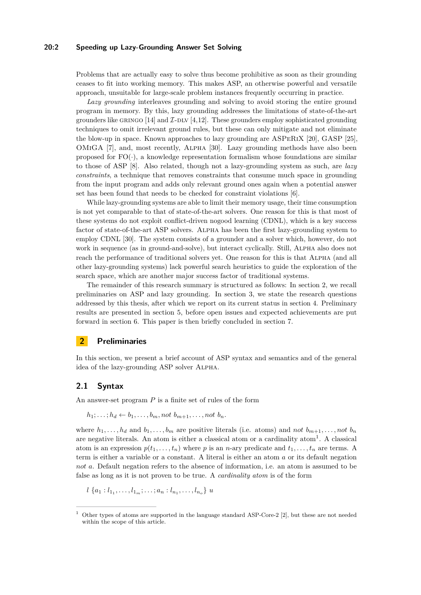#### **20:2 Speeding up Lazy-Grounding Answer Set Solving**

Problems that are actually easy to solve thus become prohibitive as soon as their grounding ceases to fit into working memory. This makes ASP, an otherwise powerful and versatile approach, unsuitable for large-scale problem instances frequently occurring in practice.

*Lazy grounding* interleaves grounding and solving to avoid storing the entire ground program in memory. By this, lazy grounding addresses the limitations of state-of-the-art grounders like GRINGO [\[14\]](#page-7-1) and  $\mathcal{I}-\text{DLV}$  [\[4,](#page-6-1)[12\]](#page-6-2). These grounders employ sophisticated grounding techniques to omit irrelevant ground rules, but these can only mitigate and not eliminate the blow-up in space. Known approaches to lazy grounding are ASPeRiX [\[20\]](#page-7-4), GASP [\[25\]](#page-7-5), OMiGA [\[7\]](#page-6-4), and, most recently, Alpha [\[30\]](#page-8-1). Lazy grounding methods have also been proposed for  $FO(\cdot)$ , a knowledge representation formalism whose foundations are similar to those of ASP [\[8\]](#page-6-5). Also related, though not a lazy-grounding system as such, are *lazy constraints*, a technique that removes constraints that consume much space in grounding from the input program and adds only relevant ground ones again when a potential answer set has been found that needs to be checked for constraint violations [\[6\]](#page-6-6).

While lazy-grounding systems are able to limit their memory usage, their time consumption is not yet comparable to that of state-of-the-art solvers. One reason for this is that most of these systems do not exploit conflict-driven nogood learning (CDNL), which is a key success factor of state-of-the-art ASP solvers. Alpha has been the first lazy-grounding system to employ CDNL [\[30\]](#page-8-1). The system consists of a grounder and a solver which, however, do not work in sequence (as in ground-and-solve), but interact cyclically. Still, Alpha also does not reach the performance of traditional solvers yet. One reason for this is that Alpha (and all other lazy-grounding systems) lack powerful search heuristics to guide the exploration of the search space, which are another major success factor of traditional systems.

The remainder of this research summary is structured as follows: In section [2,](#page-1-0) we recall preliminaries on ASP and lazy grounding. In section [3,](#page-2-0) we state the research questions addressed by this thesis, after which we report on its current status in section [4.](#page-3-0) Preliminary results are presented in section [5,](#page-3-1) before open issues and expected achievements are put forward in section [6.](#page-5-0) This paper is then briefly concluded in section [7.](#page-5-1)

### <span id="page-1-0"></span>**2 Preliminaries**

In this section, we present a brief account of ASP syntax and semantics and of the general idea of the lazy-grounding ASP solver Alpha.

#### **2.1 Syntax**

An answer-set program *P* is a finite set of rules of the form

 $h_1; \ldots; h_d \leftarrow b_1, \ldots, b_m, \text{not } b_{m+1}, \ldots, \text{not } b_n.$ 

where  $h_1, \ldots, h_d$  and  $b_1, \ldots, b_m$  are positive literals (i.e. atoms) and *not*  $b_{m+1}, \ldots, not$   $b_n$ are negative literals. An atom is either a classical atom or a cardinality atom<sup>[1](#page-1-1)</sup>. A classical atom is an expression  $p(t_1, \ldots, t_n)$  where p is an *n*-ary predicate and  $t_1, \ldots, t_n$  are terms. A term is either a variable or a constant. A literal is either an atom *a* or its default negation *not a*. Default negation refers to the absence of information, i.e. an atom is assumed to be false as long as it is not proven to be true. A *cardinality atom* is of the form

 $l \{a_1 : l_{1_1}, \ldots, l_{1_m}; \ldots; a_n : l_{n_1}, \ldots, l_{n_o}\}$  *u* 

<span id="page-1-1"></span><sup>1</sup> Other types of atoms are supported in the language standard ASP-Core-2 [\[2\]](#page-6-7), but these are not needed within the scope of this article.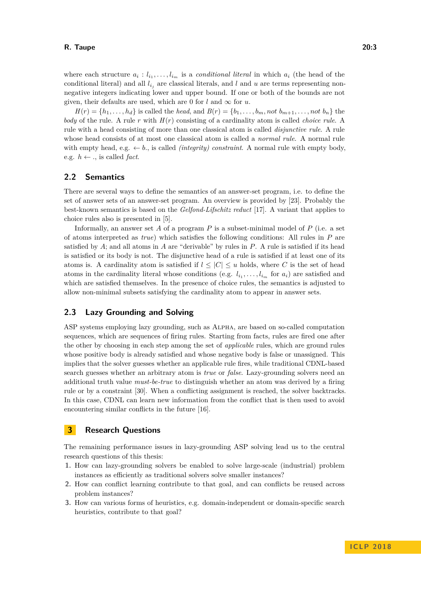where each structure  $a_i: l_{i_1}, \ldots, l_{i_m}$  is a *conditional literal* in which  $a_i$  (the head of the conditional literal) and all  $l_{i_j}$  are classical literals, and  $l$  and  $u$  are terms representing nonnegative integers indicating lower and upper bound. If one or both of the bounds are not given, their defaults are used, which are 0 for  $l$  and  $\infty$  for  $u$ .

 $H(r) = \{h_1, \ldots, h_d\}$  is called the *head*, and  $B(r) = \{b_1, \ldots, b_m, not \ b_{m+1}, \ldots, not \ b_n\}$  the *body* of the rule. A rule *r* with *H*(*r*) consisting of a cardinality atom is called *choice rule*. A rule with a head consisting of more than one classical atom is called *disjunctive rule*. A rule whose head consists of at most one classical atom is called a *normal rule*. A normal rule with empty head, e.g.  $\leftarrow b$ , is called *(integrity) constraint*. A normal rule with empty body, e.g.  $h \leftarrow$ ., is called *fact*.

#### **2.2 Semantics**

There are several ways to define the semantics of an answer-set program, i.e. to define the set of answer sets of an answer-set program. An overview is provided by [\[23\]](#page-7-6). Probably the best-known semantics is based on the *Gelfond-Lifschitz reduct* [\[17\]](#page-7-7). A variant that applies to choice rules also is presented in [\[5\]](#page-6-8).

Informally, an answer set *A* of a program *P* is a subset-minimal model of *P* (i.e. a set of atoms interpreted as *true*) which satisfies the following conditions: All rules in *P* are satisfied by *A*; and all atoms in *A* are "derivable" by rules in *P*. A rule is satisfied if its head is satisfied or its body is not. The disjunctive head of a rule is satisfied if at least one of its atoms is. A cardinality atom is satisfied if  $l \leq |C| \leq u$  holds, where *C* is the set of head atoms in the cardinality literal whose conditions (e.g.  $l_{i_1}, \ldots, l_{i_m}$  for  $a_i$ ) are satisfied and which are satisfied themselves. In the presence of choice rules, the semantics is adjusted to allow non-minimal subsets satisfying the cardinality atom to appear in answer sets.

# <span id="page-2-1"></span>**2.3 Lazy Grounding and Solving**

ASP systems employing lazy grounding, such as Alpha, are based on so-called computation sequences, which are sequences of firing rules. Starting from facts, rules are fired one after the other by choosing in each step among the set of *applicable* rules, which are ground rules whose positive body is already satisfied and whose negative body is false or unassigned. This implies that the solver guesses whether an applicable rule fires, while traditional CDNL-based search guesses whether an arbitrary atom is *true* or *false*. Lazy-grounding solvers need an additional truth value *must-be-true* to distinguish whether an atom was derived by a firing rule or by a constraint [\[30\]](#page-8-1). When a conflicting assignment is reached, the solver backtracks. In this case, CDNL can learn new information from the conflict that is then used to avoid encountering similar conflicts in the future [\[16\]](#page-7-3).

#### <span id="page-2-0"></span>**3 Research Questions**

The remaining performance issues in lazy-grounding ASP solving lead us to the central research questions of this thesis:

- **1.** How can lazy-grounding solvers be enabled to solve large-scale (industrial) problem instances as efficiently as traditional solvers solve smaller instances?
- **2.** How can conflict learning contribute to that goal, and can conflicts be reused across problem instances?
- **3.** How can various forms of heuristics, e.g. domain-independent or domain-specific search heuristics, contribute to that goal?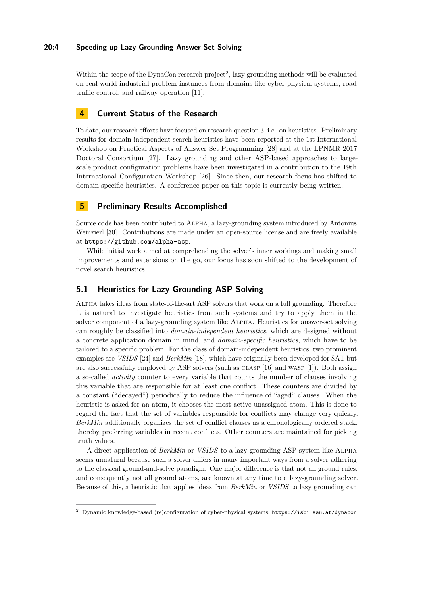#### **20:4 Speeding up Lazy-Grounding Answer Set Solving**

Within the scope of the DynaCon research project<sup>[2](#page-3-2)</sup>, lazy grounding methods will be evaluated on real-world industrial problem instances from domains like cyber-physical systems, road traffic control, and railway operation [\[11\]](#page-6-9).

# <span id="page-3-0"></span>**4 Current Status of the Research**

To date, our research efforts have focused on research question 3, i.e. on heuristics. Preliminary results for domain-independent search heuristics have been reported at the 1st International Workshop on Practical Aspects of Answer Set Programming [\[28\]](#page-8-2) and at the LPNMR 2017 Doctoral Consortium [\[27\]](#page-8-3). Lazy grounding and other ASP-based approaches to largescale product configuration problems have been investigated in a contribution to the 19th International Configuration Workshop [\[26\]](#page-7-8). Since then, our research focus has shifted to domain-specific heuristics. A conference paper on this topic is currently being written.

# <span id="page-3-1"></span>**5 Preliminary Results Accomplished**

Source code has been contributed to Alpha, a lazy-grounding system introduced by Antonius Weinzierl [\[30\]](#page-8-1). Contributions are made under an open-source license and are freely available at <https://github.com/alpha-asp>.

While initial work aimed at comprehending the solver's inner workings and making small improvements and extensions on the go, our focus has soon shifted to the development of novel search heuristics.

# **5.1 Heuristics for Lazy-Grounding ASP Solving**

Alpha takes ideas from state-of-the-art ASP solvers that work on a full grounding. Therefore it is natural to investigate heuristics from such systems and try to apply them in the solver component of a lazy-grounding system like Alpha. Heuristics for answer-set solving can roughly be classified into *domain-independent heuristics*, which are designed without a concrete application domain in mind, and *domain-specific heuristics*, which have to be tailored to a specific problem. For the class of domain-independent heuristics, two prominent examples are *VSIDS* [\[24\]](#page-7-9) and *BerkMin* [\[18\]](#page-7-10), which have originally been developed for SAT but are also successfully employed by ASP solvers (such as CLASP [\[16\]](#page-7-3) and WASP [\[1\]](#page-6-10)). Both assign a so-called *activity* counter to every variable that counts the number of clauses involving this variable that are responsible for at least one conflict. These counters are divided by a constant ("decayed") periodically to reduce the influence of "aged" clauses. When the heuristic is asked for an atom, it chooses the most active unassigned atom. This is done to regard the fact that the set of variables responsible for conflicts may change very quickly. *BerkMin* additionally organizes the set of conflict clauses as a chronologically ordered stack, thereby preferring variables in recent conflicts. Other counters are maintained for picking truth values.

A direct application of *BerkMin* or *VSIDS* to a lazy-grounding ASP system like Alpha seems unnatural because such a solver differs in many important ways from a solver adhering to the classical ground-and-solve paradigm. One major difference is that not all ground rules, and consequently not all ground atoms, are known at any time to a lazy-grounding solver. Because of this, a heuristic that applies ideas from *BerkMin* or *VSIDS* to lazy grounding can

<span id="page-3-2"></span><sup>2</sup> Dynamic knowledge-based (re)configuration of cyber-physical systems, <https://isbi.aau.at/dynacon>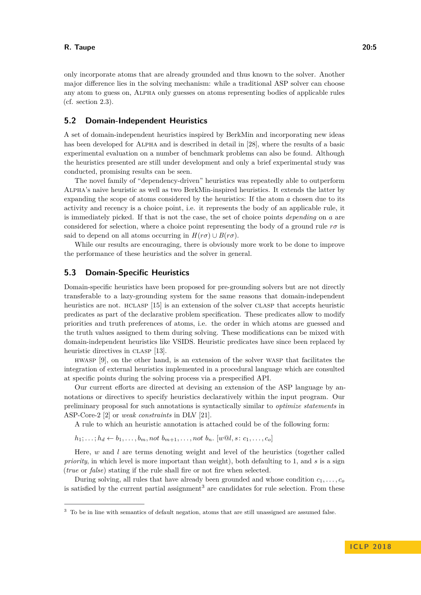only incorporate atoms that are already grounded and thus known to the solver. Another major difference lies in the solving mechanism: while a traditional ASP solver can choose any atom to guess on, Alpha only guesses on atoms representing bodies of applicable rules (cf. section [2.3\)](#page-2-1).

#### **5.2 Domain-Independent Heuristics**

A set of domain-independent heuristics inspired by BerkMin and incorporating new ideas has been developed for ALPHA and is described in detail in [\[28\]](#page-8-2), where the results of a basic experimental evaluation on a number of benchmark problems can also be found. Although the heuristics presented are still under development and only a brief experimental study was conducted, promising results can be seen.

The novel family of "dependency-driven" heuristics was repeatedly able to outperform Alpha's naive heuristic as well as two BerkMin-inspired heuristics. It extends the latter by expanding the scope of atoms considered by the heuristics: If the atom *a* chosen due to its activity and recency is a choice point, i.e. it represents the body of an applicable rule, it is immediately picked. If that is not the case, the set of choice points *depending* on *a* are considered for selection, where a choice point representing the body of a ground rule  $r\sigma$  is said to depend on all atoms occurring in  $H(r\sigma) \cup B(r\sigma)$ .

While our results are encouraging, there is obviously more work to be done to improve the performance of these heuristics and the solver in general.

#### **5.3 Domain-Specific Heuristics**

Domain-specific heuristics have been proposed for pre-grounding solvers but are not directly transferable to a lazy-grounding system for the same reasons that domain-independent heuristics are not. HCLASP [\[15\]](#page-7-11) is an extension of the solver CLASP that accepts heuristic predicates as part of the declarative problem specification. These predicates allow to modify priorities and truth preferences of atoms, i.e. the order in which atoms are guessed and the truth values assigned to them during solving. These modifications can be mixed with domain-independent heuristics like VSIDS. Heuristic predicates have since been replaced by heuristic directives in CLASP [\[13\]](#page-6-11).

hwasp [\[9\]](#page-6-12), on the other hand, is an extension of the solver wasp that facilitates the integration of external heuristics implemented in a procedural language which are consulted at specific points during the solving process via a prespecified API.

Our current efforts are directed at devising an extension of the ASP language by annotations or directives to specify heuristics declaratively within the input program. Our preliminary proposal for such annotations is syntactically similar to *optimize statements* in ASP-Core-2 [\[2\]](#page-6-7) or *weak constraints* in DLV [\[21\]](#page-7-12).

A rule to which an heuristic annotation is attached could be of the following form:

 $h_1; \ldots; h_d \leftarrow b_1, \ldots, b_m, not \ b_{m+1}, \ldots, not \ b_n.$   $[w \mathbb{Q}l, s: c_1, \ldots, c_o]$ 

Here, *w* and *l* are terms denoting weight and level of the heuristics (together called *priority*, in which level is more important than weight), both defaulting to 1, and *s* is a sign (*true* or *false*) stating if the rule shall fire or not fire when selected.

During solving, all rules that have already been grounded and whose condition  $c_1, \ldots, c_o$ is satisfied by the current partial assignment<sup>[3](#page-4-0)</sup> are candidates for rule selection. From these

<span id="page-4-0"></span><sup>&</sup>lt;sup>3</sup> To be in line with semantics of default negation, atoms that are still unassigned are assumed false.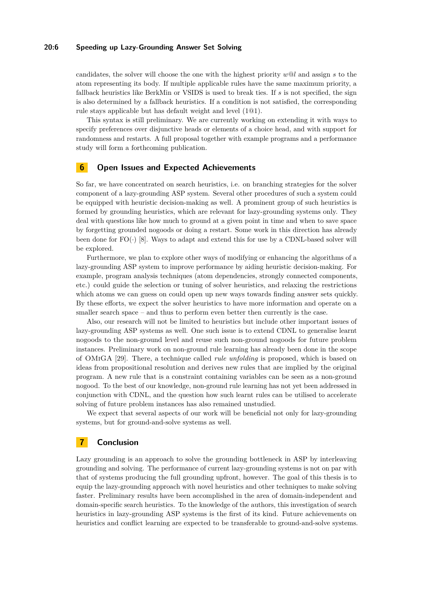#### **20:6 Speeding up Lazy-Grounding Answer Set Solving**

candidates, the solver will choose the one with the highest priority *w*@*l* and assign *s* to the atom representing its body. If multiple applicable rules have the same maximum priority, a fallback heuristics like BerkMin or VSIDS is used to break ties. If *s* is not specified, the sign is also determined by a fallback heuristics. If a condition is not satisfied, the corresponding rule stays applicable but has default weight and level (1@1).

This syntax is still preliminary. We are currently working on extending it with ways to specify preferences over disjunctive heads or elements of a choice head, and with support for randomness and restarts. A full proposal together with example programs and a performance study will form a forthcoming publication.

## <span id="page-5-0"></span>**6 Open Issues and Expected Achievements**

So far, we have concentrated on search heuristics, i.e. on branching strategies for the solver component of a lazy-grounding ASP system. Several other procedures of such a system could be equipped with heuristic decision-making as well. A prominent group of such heuristics is formed by grounding heuristics, which are relevant for lazy-grounding systems only. They deal with questions like how much to ground at a given point in time and when to save space by forgetting grounded nogoods or doing a restart. Some work in this direction has already been done for  $FO(\cdot)$  [\[8\]](#page-6-5). Ways to adapt and extend this for use by a CDNL-based solver will be explored.

Furthermore, we plan to explore other ways of modifying or enhancing the algorithms of a lazy-grounding ASP system to improve performance by aiding heuristic decision-making. For example, program analysis techniques (atom dependencies, strongly connected components, etc.) could guide the selection or tuning of solver heuristics, and relaxing the restrictions which atoms we can guess on could open up new ways towards finding answer sets quickly. By these efforts, we expect the solver heuristics to have more information and operate on a smaller search space – and thus to perform even better then currently is the case.

Also, our research will not be limited to heuristics but include other important issues of lazy-grounding ASP systems as well. One such issue is to extend CDNL to generalise learnt nogoods to the non-ground level and reuse such non-ground nogoods for future problem instances. Preliminary work on non-ground rule learning has already been done in the scope of OMiGA [\[29\]](#page-8-4). There, a technique called *rule unfolding* is proposed, which is based on ideas from propositional resolution and derives new rules that are implied by the original program. A new rule that is a constraint containing variables can be seen as a non-ground nogood. To the best of our knowledge, non-ground rule learning has not yet been addressed in conjunction with CDNL, and the question how such learnt rules can be utilised to accelerate solving of future problem instances has also remained unstudied.

We expect that several aspects of our work will be beneficial not only for lazy-grounding systems, but for ground-and-solve systems as well.

# <span id="page-5-1"></span>**7 Conclusion**

Lazy grounding is an approach to solve the grounding bottleneck in ASP by interleaving grounding and solving. The performance of current lazy-grounding systems is not on par with that of systems producing the full grounding upfront, however. The goal of this thesis is to equip the lazy-grounding approach with novel heuristics and other techniques to make solving faster. Preliminary results have been accomplished in the area of domain-independent and domain-specific search heuristics. To the knowledge of the authors, this investigation of search heuristics in lazy-grounding ASP systems is the first of its kind. Future achievements on heuristics and conflict learning are expected to be transferable to ground-and-solve systems.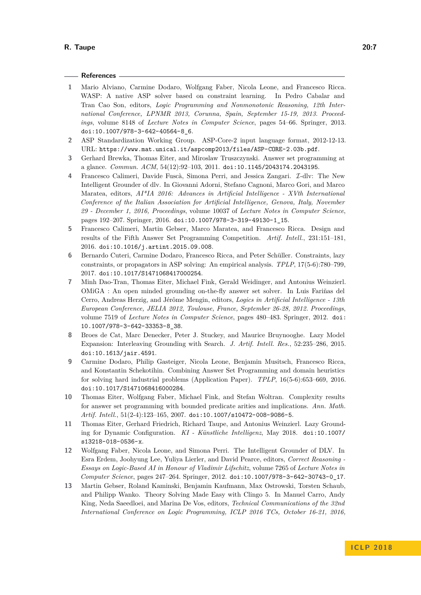#### **References**

- <span id="page-6-10"></span>**1** Mario Alviano, Carmine Dodaro, Wolfgang Faber, Nicola Leone, and Francesco Ricca. WASP: A native ASP solver based on constraint learning. In Pedro Cabalar and Tran Cao Son, editors, *Logic Programming and Nonmonotonic Reasoning, 12th International Conference, LPNMR 2013, Corunna, Spain, September 15-19, 2013. Proceedings*, volume 8148 of *Lecture Notes in Computer Science*, pages 54–66. Springer, 2013. [doi:10.1007/978-3-642-40564-8\\_6](http://dx.doi.org/10.1007/978-3-642-40564-8_6).
- <span id="page-6-7"></span>**2** ASP Standardization Working Group. ASP-Core-2 input language format, 2012-12-13. URL: <https://www.mat.unical.it/aspcomp2013/files/ASP-CORE-2.03b.pdf>.
- <span id="page-6-0"></span>**3** Gerhard Brewka, Thomas Eiter, and Miroslaw Truszczynski. Answer set programming at a glance. *Commun. ACM*, 54(12):92–103, 2011. [doi:10.1145/2043174.2043195](http://dx.doi.org/10.1145/2043174.2043195).
- <span id="page-6-1"></span>**4** Francesco Calimeri, Davide Fuscà, Simona Perri, and Jessica Zangari. I-dlv: The New Intelligent Grounder of dlv. In Giovanni Adorni, Stefano Cagnoni, Marco Gori, and Marco Maratea, editors, *AI\*IA 2016: Advances in Artificial Intelligence - XVth International Conference of the Italian Association for Artificial Intelligence, Genova, Italy, November 29 - December 1, 2016, Proceedings*, volume 10037 of *Lecture Notes in Computer Science*, pages 192–207. Springer, 2016. [doi:10.1007/978-3-319-49130-1\\_15](http://dx.doi.org/10.1007/978-3-319-49130-1_15).
- <span id="page-6-8"></span>**5** Francesco Calimeri, Martin Gebser, Marco Maratea, and Francesco Ricca. Design and results of the Fifth Answer Set Programming Competition. *Artif. Intell.*, 231:151–181, 2016. [doi:10.1016/j.artint.2015.09.008](http://dx.doi.org/10.1016/j.artint.2015.09.008).
- <span id="page-6-6"></span>**6** Bernardo Cuteri, Carmine Dodaro, Francesco Ricca, and Peter Schüller. Constraints, lazy constraints, or propagators in ASP solving: An empirical analysis. *TPLP*, 17(5-6):780–799, 2017. [doi:10.1017/S1471068417000254](http://dx.doi.org/10.1017/S1471068417000254).
- <span id="page-6-4"></span>**7** Minh Dao-Tran, Thomas Eiter, Michael Fink, Gerald Weidinger, and Antonius Weinzierl. OMiGA : An open minded grounding on-the-fly answer set solver. In Luis Fariñas del Cerro, Andreas Herzig, and Jérôme Mengin, editors, *Logics in Artificial Intelligence - 13th European Conference, JELIA 2012, Toulouse, France, September 26-28, 2012. Proceedings*, volume 7519 of *Lecture Notes in Computer Science*, pages 480–483. Springer, 2012. [doi:](http://dx.doi.org/10.1007/978-3-642-33353-8_38) [10.1007/978-3-642-33353-8\\_38](http://dx.doi.org/10.1007/978-3-642-33353-8_38).
- <span id="page-6-5"></span>**8** Broes de Cat, Marc Denecker, Peter J. Stuckey, and Maurice Bruynooghe. Lazy Model Expansion: Interleaving Grounding with Search. *J. Artif. Intell. Res.*, 52:235–286, 2015. [doi:10.1613/jair.4591](http://dx.doi.org/10.1613/jair.4591).
- <span id="page-6-12"></span>**9** Carmine Dodaro, Philip Gasteiger, Nicola Leone, Benjamin Musitsch, Francesco Ricca, and Konstantin Schekotihin. Combining Answer Set Programming and domain heuristics for solving hard industrial problems (Application Paper). *TPLP*, 16(5-6):653–669, 2016. [doi:10.1017/S1471068416000284](http://dx.doi.org/10.1017/S1471068416000284).
- <span id="page-6-3"></span>**10** Thomas Eiter, Wolfgang Faber, Michael Fink, and Stefan Woltran. Complexity results for answer set programming with bounded predicate arities and implications. *Ann. Math. Artif. Intell.*, 51(2-4):123–165, 2007. [doi:10.1007/s10472-008-9086-5](http://dx.doi.org/10.1007/s10472-008-9086-5).
- <span id="page-6-9"></span>**11** Thomas Eiter, Gerhard Friedrich, Richard Taupe, and Antonius Weinzierl. Lazy Grounding for Dynamic Configuration. *KI - Künstliche Intelligenz*, May 2018. [doi:10.1007/](http://dx.doi.org/10.1007/s13218-018-0536-x) [s13218-018-0536-x](http://dx.doi.org/10.1007/s13218-018-0536-x).
- <span id="page-6-2"></span>**12** Wolfgang Faber, Nicola Leone, and Simona Perri. The Intelligent Grounder of DLV. In Esra Erdem, Joohyung Lee, Yuliya Lierler, and David Pearce, editors, *Correct Reasoning - Essays on Logic-Based AI in Honour of Vladimir Lifschitz*, volume 7265 of *Lecture Notes in Computer Science*, pages 247–264. Springer, 2012. [doi:10.1007/978-3-642-30743-0\\_17](http://dx.doi.org/10.1007/978-3-642-30743-0_17).
- <span id="page-6-11"></span>**13** Martin Gebser, Roland Kaminski, Benjamin Kaufmann, Max Ostrowski, Torsten Schaub, and Philipp Wanko. Theory Solving Made Easy with Clingo 5. In Manuel Carro, Andy King, Neda Saeedloei, and Marina De Vos, editors, *Technical Communications of the 32nd International Conference on Logic Programming, ICLP 2016 TCs, October 16-21, 2016,*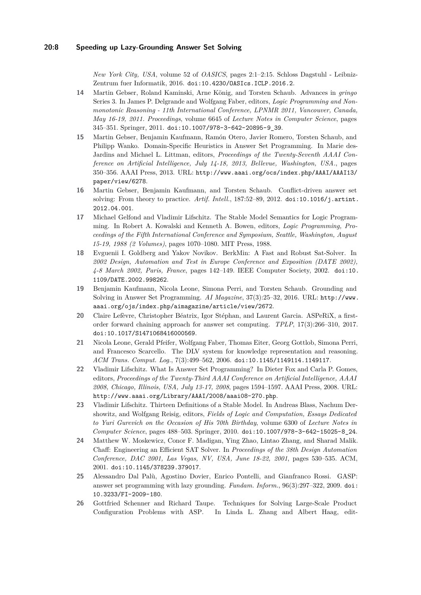*New York City, USA*, volume 52 of *OASICS*, pages 2:1–2:15. Schloss Dagstuhl - Leibniz-Zentrum fuer Informatik, 2016. [doi:10.4230/OASIcs.ICLP.2016.2](http://dx.doi.org/10.4230/OASIcs.ICLP.2016.2).

- <span id="page-7-1"></span>**14** Martin Gebser, Roland Kaminski, Arne König, and Torsten Schaub. Advances in *gringo* Series 3. In James P. Delgrande and Wolfgang Faber, editors, *Logic Programming and Nonmonotonic Reasoning - 11th International Conference, LPNMR 2011, Vancouver, Canada, May 16-19, 2011. Proceedings*, volume 6645 of *Lecture Notes in Computer Science*, pages 345–351. Springer, 2011. [doi:10.1007/978-3-642-20895-9\\_39](http://dx.doi.org/10.1007/978-3-642-20895-9_39).
- <span id="page-7-11"></span>**15** Martin Gebser, Benjamin Kaufmann, Ramón Otero, Javier Romero, Torsten Schaub, and Philipp Wanko. Domain-Specific Heuristics in Answer Set Programming. In Marie des-Jardins and Michael L. Littman, editors, *Proceedings of the Twenty-Seventh AAAI Conference on Artificial Intelligence, July 14-18, 2013, Bellevue, Washington, USA.*, pages 350–356. AAAI Press, 2013. URL: [http://www.aaai.org/ocs/index.php/AAAI/AAAI13/](http://www.aaai.org/ocs/index.php/AAAI/AAAI13/paper/view/6278) [paper/view/6278](http://www.aaai.org/ocs/index.php/AAAI/AAAI13/paper/view/6278).
- <span id="page-7-3"></span>**16** Martin Gebser, Benjamin Kaufmann, and Torsten Schaub. Conflict-driven answer set solving: From theory to practice. *Artif. Intell.*, 187:52–89, 2012. [doi:10.1016/j.artint.](http://dx.doi.org/10.1016/j.artint.2012.04.001) [2012.04.001](http://dx.doi.org/10.1016/j.artint.2012.04.001).
- <span id="page-7-7"></span>**17** Michael Gelfond and Vladimir Lifschitz. The Stable Model Semantics for Logic Programming. In Robert A. Kowalski and Kenneth A. Bowen, editors, *Logic Programming, Proceedings of the Fifth International Conference and Symposium, Seattle, Washington, August 15-19, 1988 (2 Volumes)*, pages 1070–1080. MIT Press, 1988.
- <span id="page-7-10"></span>**18** Evguenii I. Goldberg and Yakov Novikov. BerkMin: A Fast and Robust Sat-Solver. In *2002 Design, Automation and Test in Europe Conference and Exposition (DATE 2002), 4-8 March 2002, Paris, France*, pages 142–149. IEEE Computer Society, 2002. [doi:10.](http://dx.doi.org/10.1109/DATE.2002.998262) [1109/DATE.2002.998262](http://dx.doi.org/10.1109/DATE.2002.998262).
- <span id="page-7-2"></span>**19** Benjamin Kaufmann, Nicola Leone, Simona Perri, and Torsten Schaub. Grounding and Solving in Answer Set Programming. *AI Magazine*, 37(3):25–32, 2016. URL: [http://www.](http://www.aaai.org/ojs/index.php/aimagazine/article/view/2672) [aaai.org/ojs/index.php/aimagazine/article/view/2672](http://www.aaai.org/ojs/index.php/aimagazine/article/view/2672).
- <span id="page-7-4"></span>**20** Claire Lefèvre, Christopher Béatrix, Igor Stéphan, and Laurent Garcia. ASPeRiX, a firstorder forward chaining approach for answer set computing. *TPLP*, 17(3):266–310, 2017. [doi:10.1017/S1471068416000569](http://dx.doi.org/10.1017/S1471068416000569).
- <span id="page-7-12"></span>**21** Nicola Leone, Gerald Pfeifer, Wolfgang Faber, Thomas Eiter, Georg Gottlob, Simona Perri, and Francesco Scarcello. The DLV system for knowledge representation and reasoning. *ACM Trans. Comput. Log.*, 7(3):499–562, 2006. [doi:10.1145/1149114.1149117](http://dx.doi.org/10.1145/1149114.1149117).
- <span id="page-7-0"></span>**22** Vladimir Lifschitz. What Is Answer Set Programming? In Dieter Fox and Carla P. Gomes, editors, *Proceedings of the Twenty-Third AAAI Conference on Artificial Intelligence, AAAI 2008, Chicago, Illinois, USA, July 13-17, 2008*, pages 1594–1597. AAAI Press, 2008. URL: <http://www.aaai.org/Library/AAAI/2008/aaai08-270.php>.
- <span id="page-7-6"></span>**23** Vladimir Lifschitz. Thirteen Definitions of a Stable Model. In Andreas Blass, Nachum Dershowitz, and Wolfgang Reisig, editors, *Fields of Logic and Computation, Essays Dedicated to Yuri Gurevich on the Occasion of His 70th Birthday*, volume 6300 of *Lecture Notes in Computer Science*, pages 488–503. Springer, 2010. [doi:10.1007/978-3-642-15025-8\\_24](http://dx.doi.org/10.1007/978-3-642-15025-8_24).
- <span id="page-7-9"></span>**24** Matthew W. Moskewicz, Conor F. Madigan, Ying Zhao, Lintao Zhang, and Sharad Malik. Chaff: Engineering an Efficient SAT Solver. In *Proceedings of the 38th Design Automation Conference, DAC 2001, Las Vegas, NV, USA, June 18-22, 2001*, pages 530–535. ACM, 2001. [doi:10.1145/378239.379017](http://dx.doi.org/10.1145/378239.379017).
- <span id="page-7-5"></span>**25** Alessandro Dal Palù, Agostino Dovier, Enrico Pontelli, and Gianfranco Rossi. GASP: answer set programming with lazy grounding. *Fundam. Inform.*, 96(3):297–322, 2009. [doi:](http://dx.doi.org/10.3233/FI-2009-180) [10.3233/FI-2009-180](http://dx.doi.org/10.3233/FI-2009-180).
- <span id="page-7-8"></span>**26** Gottfried Schenner and Richard Taupe. Techniques for Solving Large-Scale Product Configuration Problems with ASP. In Linda L. Zhang and Albert Haag, edit-